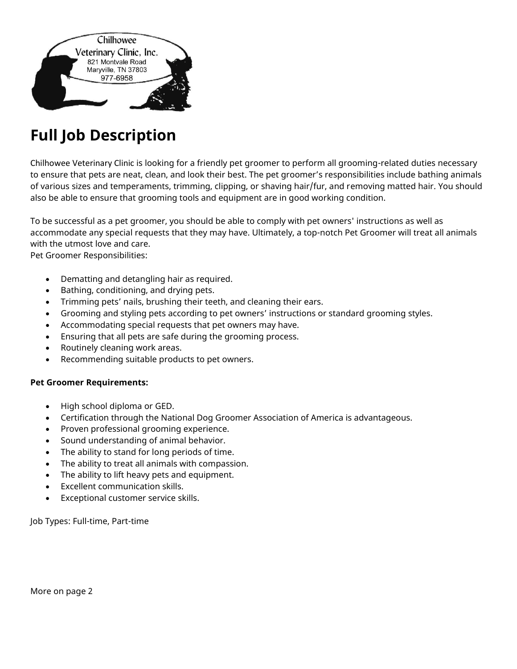

## **Full Job Description**

Chilhowee Veterinary Clinic is looking for a friendly pet groomer to perform all grooming-related duties necessary to ensure that pets are neat, clean, and look their best. The pet groomer's responsibilities include bathing animals of various sizes and temperaments, trimming, clipping, or shaving hair/fur, and removing matted hair. You should also be able to ensure that grooming tools and equipment are in good working condition.

To be successful as a pet groomer, you should be able to comply with pet owners' instructions as well as accommodate any special requests that they may have. Ultimately, a top-notch Pet Groomer will treat all animals with the utmost love and care.

Pet Groomer Responsibilities:

- Dematting and detangling hair as required.
- Bathing, conditioning, and drying pets.
- Trimming pets' nails, brushing their teeth, and cleaning their ears.
- Grooming and styling pets according to pet owners' instructions or standard grooming styles.
- Accommodating special requests that pet owners may have.
- Ensuring that all pets are safe during the grooming process.
- Routinely cleaning work areas.
- Recommending suitable products to pet owners.

## **Pet Groomer Requirements:**

- High school diploma or GED.
- Certification through the National Dog Groomer Association of America is advantageous.
- Proven professional grooming experience.
- Sound understanding of animal behavior.
- The ability to stand for long periods of time.
- The ability to treat all animals with compassion.
- The ability to lift heavy pets and equipment.
- Excellent communication skills.
- Exceptional customer service skills.

Job Types: Full-time, Part-time

More on page 2